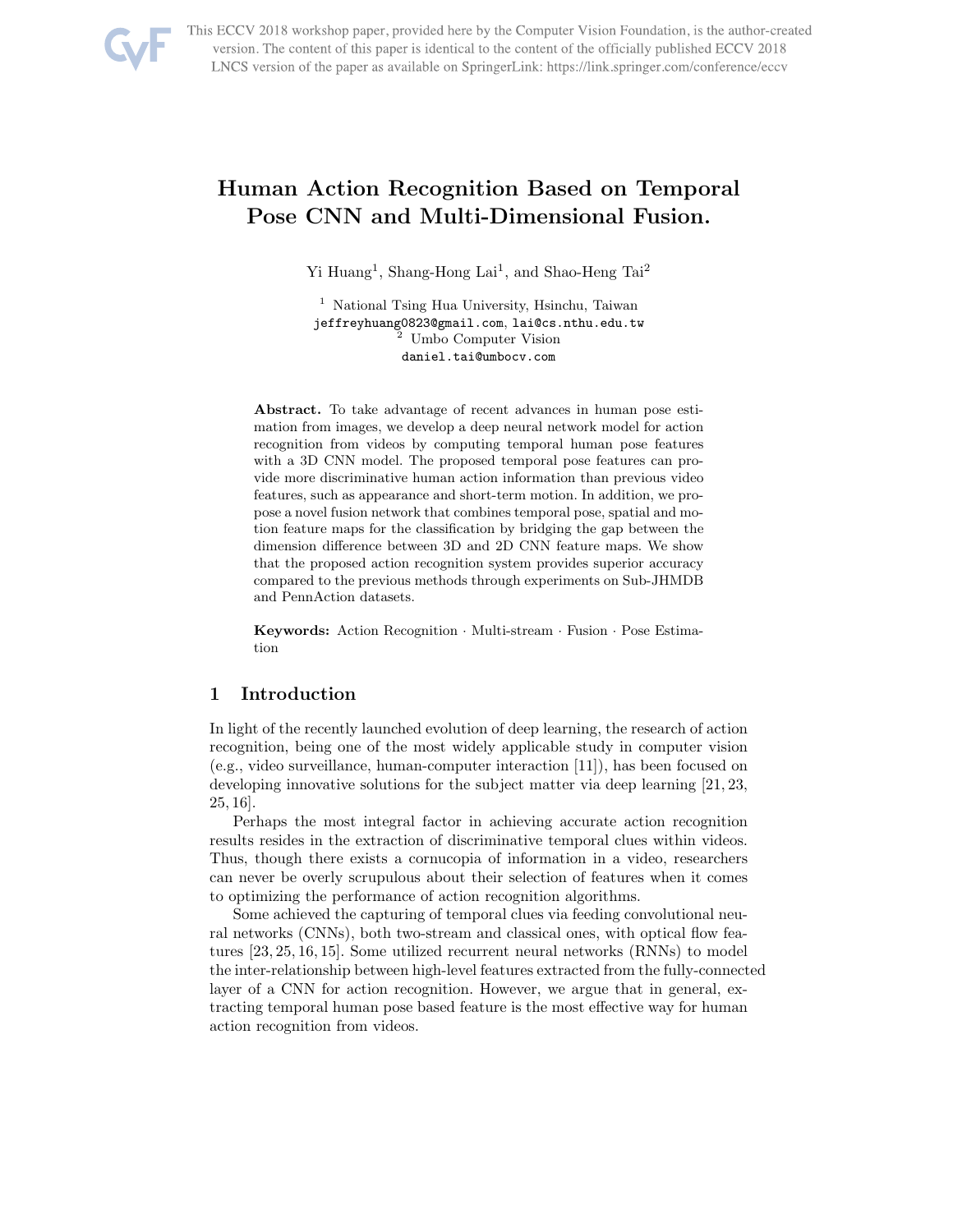

This ECCV 2018 workshop paper, provided here by the Computer Vision Foundation, is the author-created version. The content of this paper is identical to the content of the officially published ECCV 2018 LNCS version of the paper as available on SpringerLink: https://link.springer.com/conference/eccv

# Human Action Recognition Based on Temporal Pose CNN and Multi-Dimensional Fusion.

Yi Huang<sup>1</sup>, Shang-Hong Lai<sup>1</sup>, and Shao-Heng Tai<sup>2</sup>

<sup>1</sup> National Tsing Hua University, Hsinchu, Taiwan jeffreyhuang0823@gmail.com, lai@cs.nthu.edu.tw <sup>2</sup> Umbo Computer Vision daniel.tai@umbocv.com

Abstract. To take advantage of recent advances in human pose estimation from images, we develop a deep neural network model for action recognition from videos by computing temporal human pose features with a 3D CNN model. The proposed temporal pose features can provide more discriminative human action information than previous video features, such as appearance and short-term motion. In addition, we propose a novel fusion network that combines temporal pose, spatial and motion feature maps for the classification by bridging the gap between the dimension difference between 3D and 2D CNN feature maps. We show that the proposed action recognition system provides superior accuracy compared to the previous methods through experiments on Sub-JHMDB and PennAction datasets.

Keywords: Action Recognition · Multi-stream · Fusion · Pose Estimation

# 1 Introduction

In light of the recently launched evolution of deep learning, the research of action recognition, being one of the most widely applicable study in computer vision (e.g., video surveillance, human-computer interaction [11]), has been focused on developing innovative solutions for the subject matter via deep learning [21, 23, 25, 16].

Perhaps the most integral factor in achieving accurate action recognition results resides in the extraction of discriminative temporal clues within videos. Thus, though there exists a cornucopia of information in a video, researchers can never be overly scrupulous about their selection of features when it comes to optimizing the performance of action recognition algorithms.

Some achieved the capturing of temporal clues via feeding convolutional neural networks (CNNs), both two-stream and classical ones, with optical flow features [23, 25, 16, 15]. Some utilized recurrent neural networks (RNNs) to model the inter-relationship between high-level features extracted from the fully-connected layer of a CNN for action recognition. However, we argue that in general, extracting temporal human pose based feature is the most effective way for human action recognition from videos.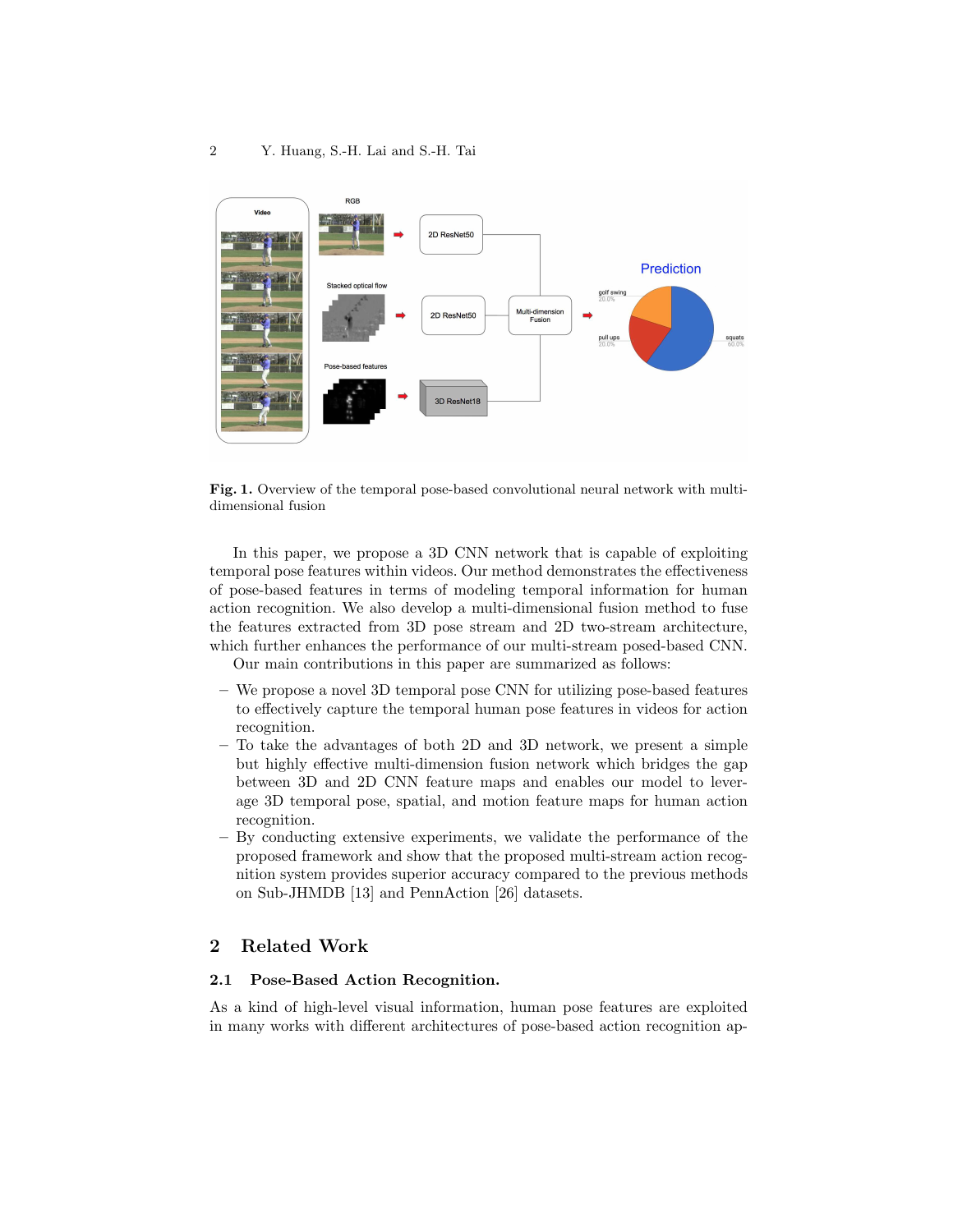

Fig. 1. Overview of the temporal pose-based convolutional neural network with multidimensional fusion

In this paper, we propose a 3D CNN network that is capable of exploiting temporal pose features within videos. Our method demonstrates the effectiveness of pose-based features in terms of modeling temporal information for human action recognition. We also develop a multi-dimensional fusion method to fuse the features extracted from 3D pose stream and 2D two-stream architecture, which further enhances the performance of our multi-stream posed-based CNN.

Our main contributions in this paper are summarized as follows:

- We propose a novel 3D temporal pose CNN for utilizing pose-based features to effectively capture the temporal human pose features in videos for action recognition.
- To take the advantages of both 2D and 3D network, we present a simple but highly effective multi-dimension fusion network which bridges the gap between 3D and 2D CNN feature maps and enables our model to leverage 3D temporal pose, spatial, and motion feature maps for human action recognition.
- By conducting extensive experiments, we validate the performance of the proposed framework and show that the proposed multi-stream action recognition system provides superior accuracy compared to the previous methods on Sub-JHMDB [13] and PennAction [26] datasets.

# 2 Related Work

## 2.1 Pose-Based Action Recognition.

As a kind of high-level visual information, human pose features are exploited in many works with different architectures of pose-based action recognition ap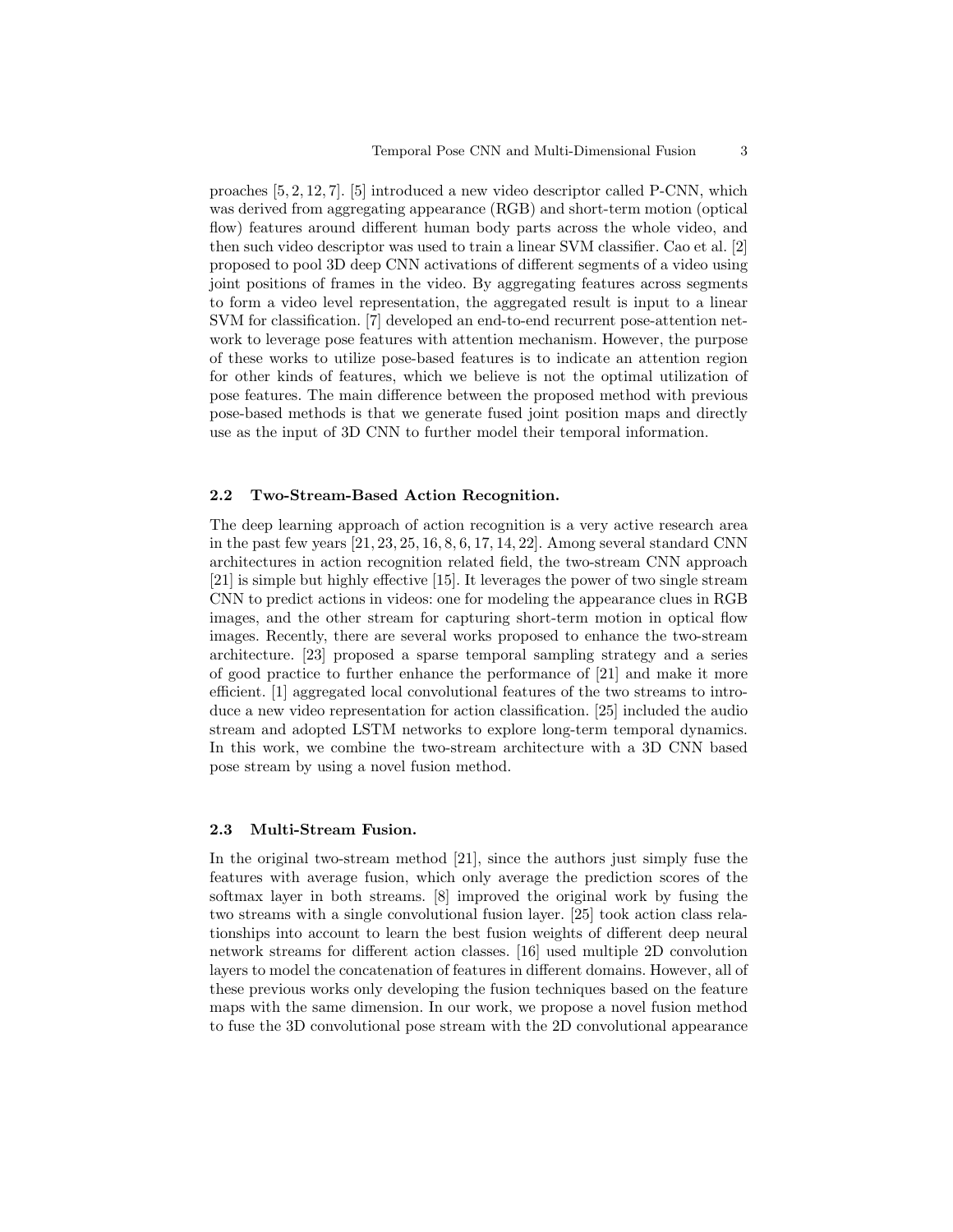proaches [5, 2, 12, 7]. [5] introduced a new video descriptor called P-CNN, which was derived from aggregating appearance (RGB) and short-term motion (optical flow) features around different human body parts across the whole video, and then such video descriptor was used to train a linear SVM classifier. Cao et al. [2] proposed to pool 3D deep CNN activations of different segments of a video using joint positions of frames in the video. By aggregating features across segments to form a video level representation, the aggregated result is input to a linear SVM for classification. [7] developed an end-to-end recurrent pose-attention network to leverage pose features with attention mechanism. However, the purpose of these works to utilize pose-based features is to indicate an attention region for other kinds of features, which we believe is not the optimal utilization of pose features. The main difference between the proposed method with previous pose-based methods is that we generate fused joint position maps and directly use as the input of 3D CNN to further model their temporal information.

### 2.2 Two-Stream-Based Action Recognition.

The deep learning approach of action recognition is a very active research area in the past few years [21, 23, 25, 16, 8, 6, 17, 14, 22]. Among several standard CNN architectures in action recognition related field, the two-stream CNN approach [21] is simple but highly effective [15]. It leverages the power of two single stream CNN to predict actions in videos: one for modeling the appearance clues in RGB images, and the other stream for capturing short-term motion in optical flow images. Recently, there are several works proposed to enhance the two-stream architecture. [23] proposed a sparse temporal sampling strategy and a series of good practice to further enhance the performance of [21] and make it more efficient. [1] aggregated local convolutional features of the two streams to introduce a new video representation for action classification. [25] included the audio stream and adopted LSTM networks to explore long-term temporal dynamics. In this work, we combine the two-stream architecture with a 3D CNN based pose stream by using a novel fusion method.

## 2.3 Multi-Stream Fusion.

In the original two-stream method [21], since the authors just simply fuse the features with average fusion, which only average the prediction scores of the softmax layer in both streams. [8] improved the original work by fusing the two streams with a single convolutional fusion layer. [25] took action class relationships into account to learn the best fusion weights of different deep neural network streams for different action classes. [16] used multiple 2D convolution layers to model the concatenation of features in different domains. However, all of these previous works only developing the fusion techniques based on the feature maps with the same dimension. In our work, we propose a novel fusion method to fuse the 3D convolutional pose stream with the 2D convolutional appearance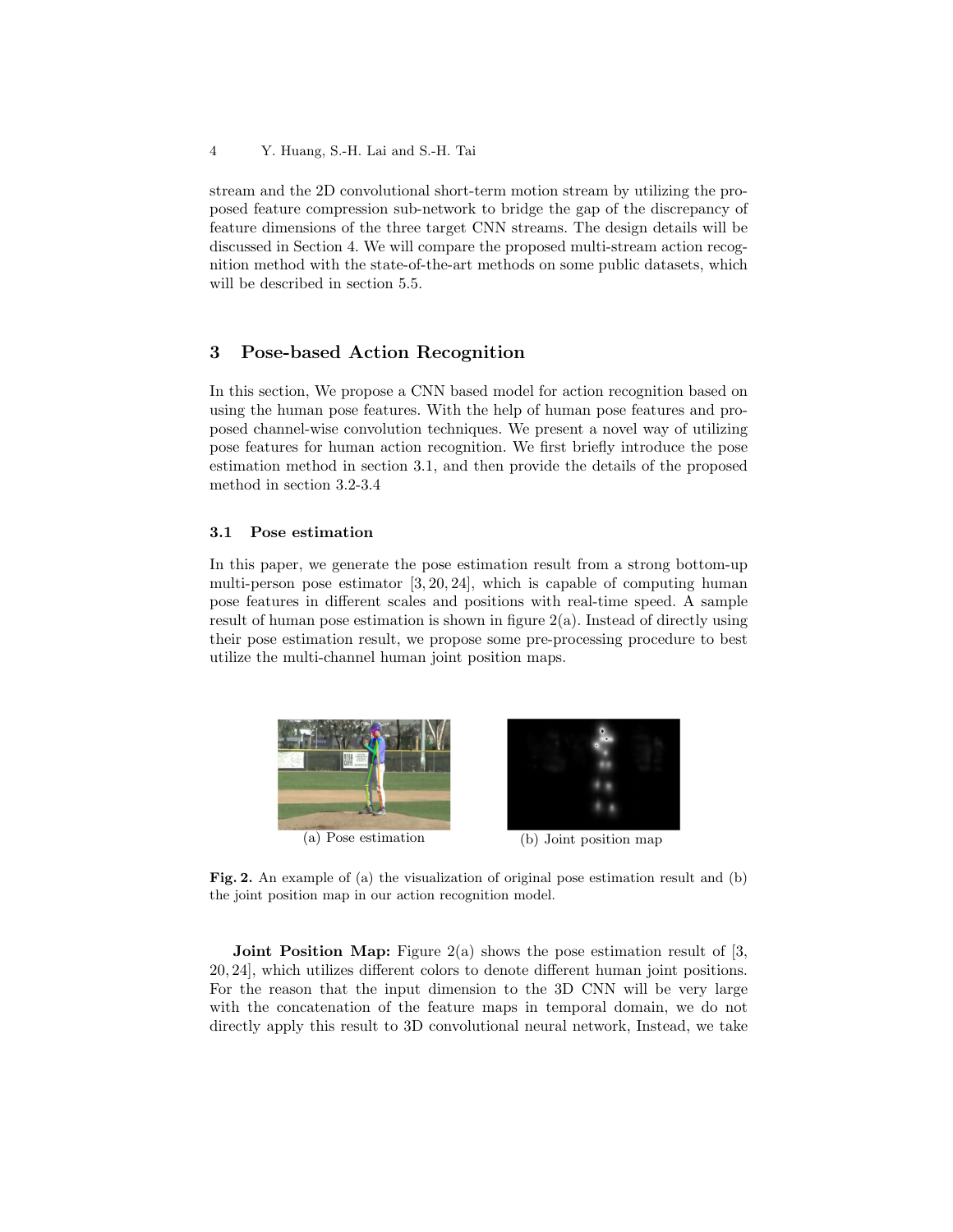stream and the 2D convolutional short-term motion stream by utilizing the proposed feature compression sub-network to bridge the gap of the discrepancy of feature dimensions of the three target CNN streams. The design details will be discussed in Section 4. We will compare the proposed multi-stream action recognition method with the state-of-the-art methods on some public datasets, which will be described in section 5.5.

# 3 Pose-based Action Recognition

In this section, We propose a CNN based model for action recognition based on using the human pose features. With the help of human pose features and proposed channel-wise convolution techniques. We present a novel way of utilizing pose features for human action recognition. We first briefly introduce the pose estimation method in section 3.1, and then provide the details of the proposed method in section 3.2-3.4

## 3.1 Pose estimation

In this paper, we generate the pose estimation result from a strong bottom-up multi-person pose estimator [3, 20, 24], which is capable of computing human pose features in different scales and positions with real-time speed. A sample result of human pose estimation is shown in figure 2(a). Instead of directly using their pose estimation result, we propose some pre-processing procedure to best utilize the multi-channel human joint position maps.



Fig. 2. An example of (a) the visualization of original pose estimation result and (b) the joint position map in our action recognition model.

**Joint Position Map:** Figure 2(a) shows the pose estimation result of [3, 20, 24], which utilizes different colors to denote different human joint positions. For the reason that the input dimension to the 3D CNN will be very large with the concatenation of the feature maps in temporal domain, we do not directly apply this result to 3D convolutional neural network, Instead, we take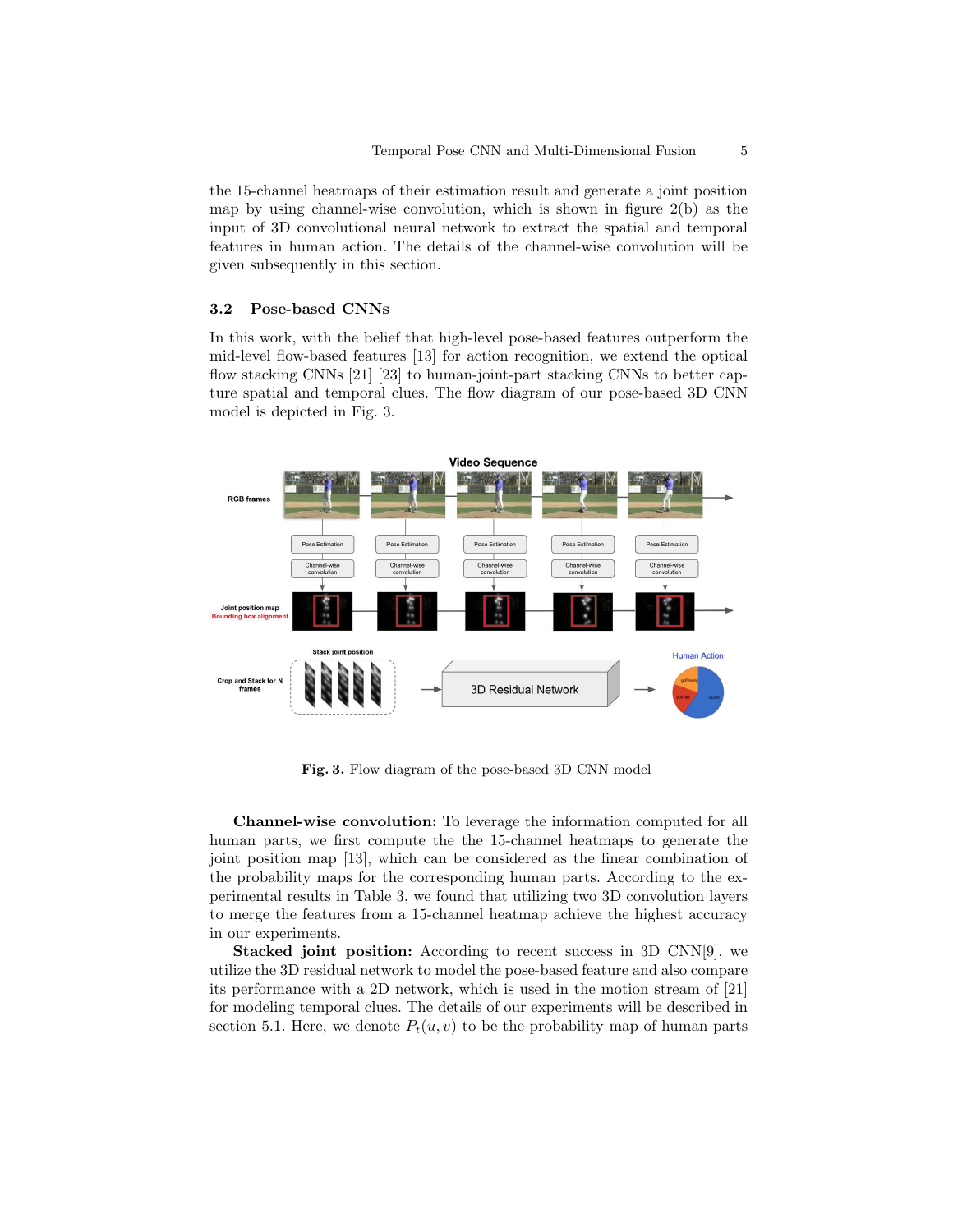the 15-channel heatmaps of their estimation result and generate a joint position map by using channel-wise convolution, which is shown in figure  $2(b)$  as the input of 3D convolutional neural network to extract the spatial and temporal features in human action. The details of the channel-wise convolution will be given subsequently in this section.

#### 3.2 Pose-based CNNs

In this work, with the belief that high-level pose-based features outperform the mid-level flow-based features [13] for action recognition, we extend the optical flow stacking CNNs [21] [23] to human-joint-part stacking CNNs to better capture spatial and temporal clues. The flow diagram of our pose-based 3D CNN model is depicted in Fig. 3.



Fig. 3. Flow diagram of the pose-based 3D CNN model

Channel-wise convolution: To leverage the information computed for all human parts, we first compute the the 15-channel heatmaps to generate the joint position map [13], which can be considered as the linear combination of the probability maps for the corresponding human parts. According to the experimental results in Table 3, we found that utilizing two 3D convolution layers to merge the features from a 15-channel heatmap achieve the highest accuracy in our experiments.

Stacked joint position: According to recent success in 3D CNN[9], we utilize the 3D residual network to model the pose-based feature and also compare its performance with a 2D network, which is used in the motion stream of [21] for modeling temporal clues. The details of our experiments will be described in section 5.1. Here, we denote  $P_t(u, v)$  to be the probability map of human parts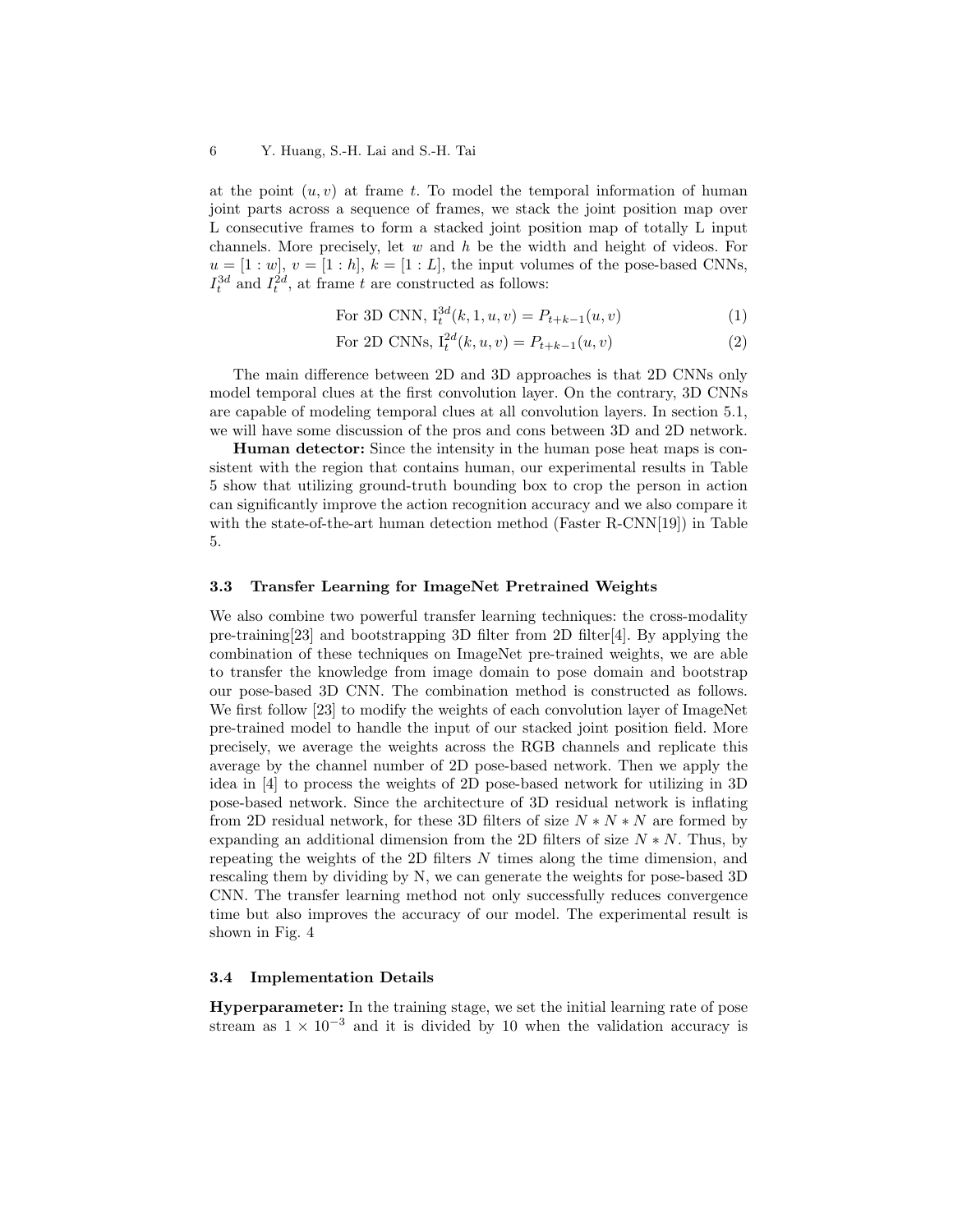at the point  $(u, v)$  at frame t. To model the temporal information of human joint parts across a sequence of frames, we stack the joint position map over L consecutive frames to form a stacked joint position map of totally L input channels. More precisely, let  $w$  and  $h$  be the width and height of videos. For  $u = [1 : w], v = [1 : h], k = [1 : L],$  the input volumes of the pose-based CNNs,  $I_t^{3d}$  and  $I_t^{2d}$ , at frame t are constructed as follows:

For 3D CNN, 
$$
I_t^{3d}(k, 1, u, v) = P_{t+k-1}(u, v)
$$
 (1)

For 2D CNNs, 
$$
I_t^{2d}(k, u, v) = P_{t+k-1}(u, v)
$$
 (2)

The main difference between 2D and 3D approaches is that 2D CNNs only model temporal clues at the first convolution layer. On the contrary, 3D CNNs are capable of modeling temporal clues at all convolution layers. In section 5.1, we will have some discussion of the pros and cons between 3D and 2D network.

Human detector: Since the intensity in the human pose heat maps is consistent with the region that contains human, our experimental results in Table 5 show that utilizing ground-truth bounding box to crop the person in action can significantly improve the action recognition accuracy and we also compare it with the state-of-the-art human detection method (Faster R-CNN[19]) in Table 5.

#### 3.3 Transfer Learning for ImageNet Pretrained Weights

We also combine two powerful transfer learning techniques: the cross-modality pre-training  $[23]$  and bootstrapping 3D filter from 2D filter  $[4]$ . By applying the combination of these techniques on ImageNet pre-trained weights, we are able to transfer the knowledge from image domain to pose domain and bootstrap our pose-based 3D CNN. The combination method is constructed as follows. We first follow [23] to modify the weights of each convolution layer of ImageNet pre-trained model to handle the input of our stacked joint position field. More precisely, we average the weights across the RGB channels and replicate this average by the channel number of 2D pose-based network. Then we apply the idea in [4] to process the weights of 2D pose-based network for utilizing in 3D pose-based network. Since the architecture of 3D residual network is inflating from 2D residual network, for these 3D filters of size  $N * N * N$  are formed by expanding an additional dimension from the 2D filters of size  $N * N$ . Thus, by repeating the weights of the 2D filters  $N$  times along the time dimension, and rescaling them by dividing by N, we can generate the weights for pose-based 3D CNN. The transfer learning method not only successfully reduces convergence time but also improves the accuracy of our model. The experimental result is shown in Fig. 4

#### 3.4 Implementation Details

Hyperparameter: In the training stage, we set the initial learning rate of pose stream as  $1 \times 10^{-3}$  and it is divided by 10 when the validation accuracy is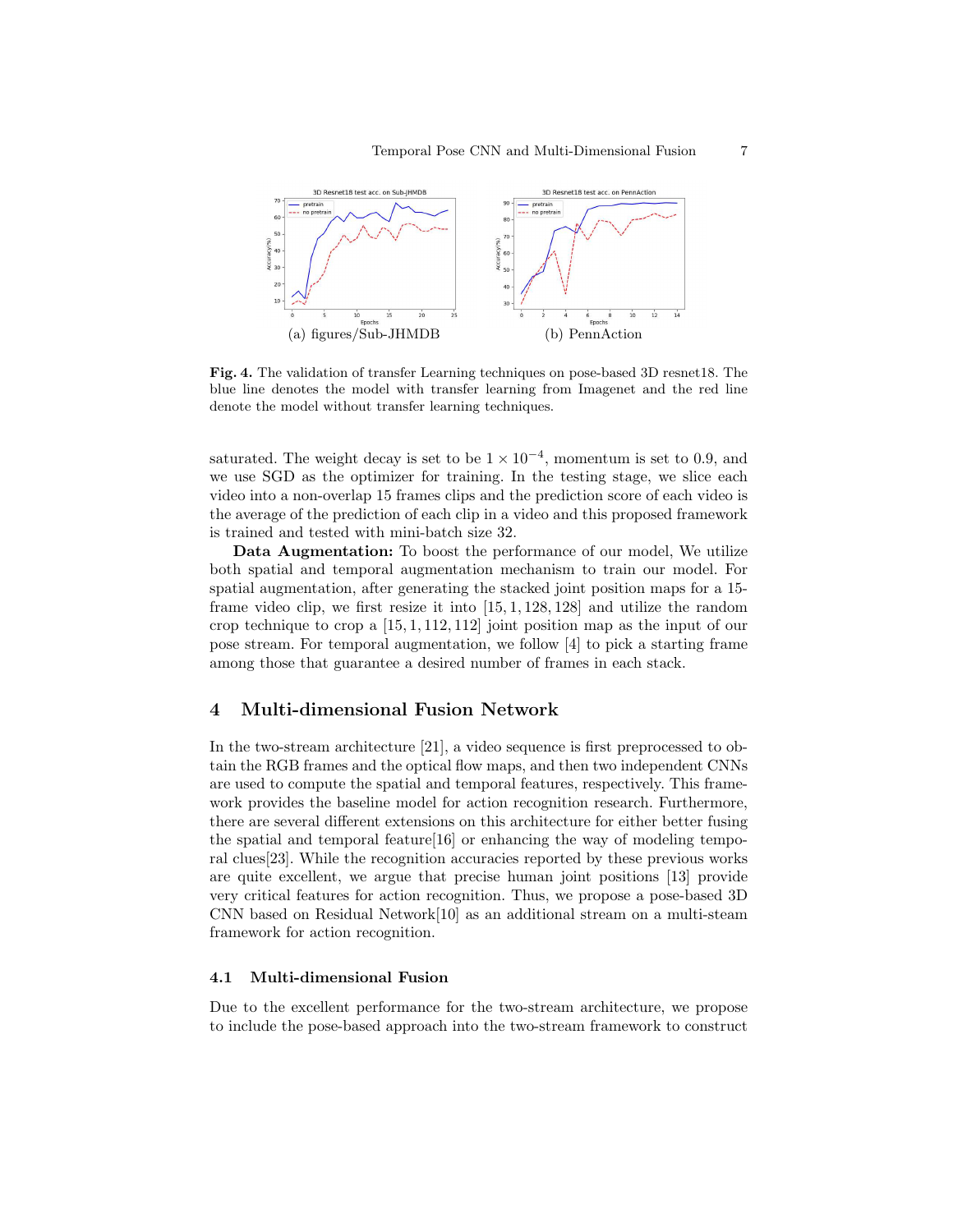

Fig. 4. The validation of transfer Learning techniques on pose-based 3D resnet18. The blue line denotes the model with transfer learning from Imagenet and the red line denote the model without transfer learning techniques.

saturated. The weight decay is set to be  $1 \times 10^{-4}$ , momentum is set to 0.9, and we use SGD as the optimizer for training. In the testing stage, we slice each video into a non-overlap 15 frames clips and the prediction score of each video is the average of the prediction of each clip in a video and this proposed framework is trained and tested with mini-batch size 32.

Data Augmentation: To boost the performance of our model, We utilize both spatial and temporal augmentation mechanism to train our model. For spatial augmentation, after generating the stacked joint position maps for a 15 frame video clip, we first resize it into [15, 1, 128, 128] and utilize the random crop technique to crop a [15, 1, 112, 112] joint position map as the input of our pose stream. For temporal augmentation, we follow [4] to pick a starting frame among those that guarantee a desired number of frames in each stack.

# 4 Multi-dimensional Fusion Network

In the two-stream architecture [21], a video sequence is first preprocessed to obtain the RGB frames and the optical flow maps, and then two independent CNNs are used to compute the spatial and temporal features, respectively. This framework provides the baseline model for action recognition research. Furthermore, there are several different extensions on this architecture for either better fusing the spatial and temporal feature[16] or enhancing the way of modeling temporal clues[23]. While the recognition accuracies reported by these previous works are quite excellent, we argue that precise human joint positions [13] provide very critical features for action recognition. Thus, we propose a pose-based 3D CNN based on Residual Network[10] as an additional stream on a multi-steam framework for action recognition.

## 4.1 Multi-dimensional Fusion

Due to the excellent performance for the two-stream architecture, we propose to include the pose-based approach into the two-stream framework to construct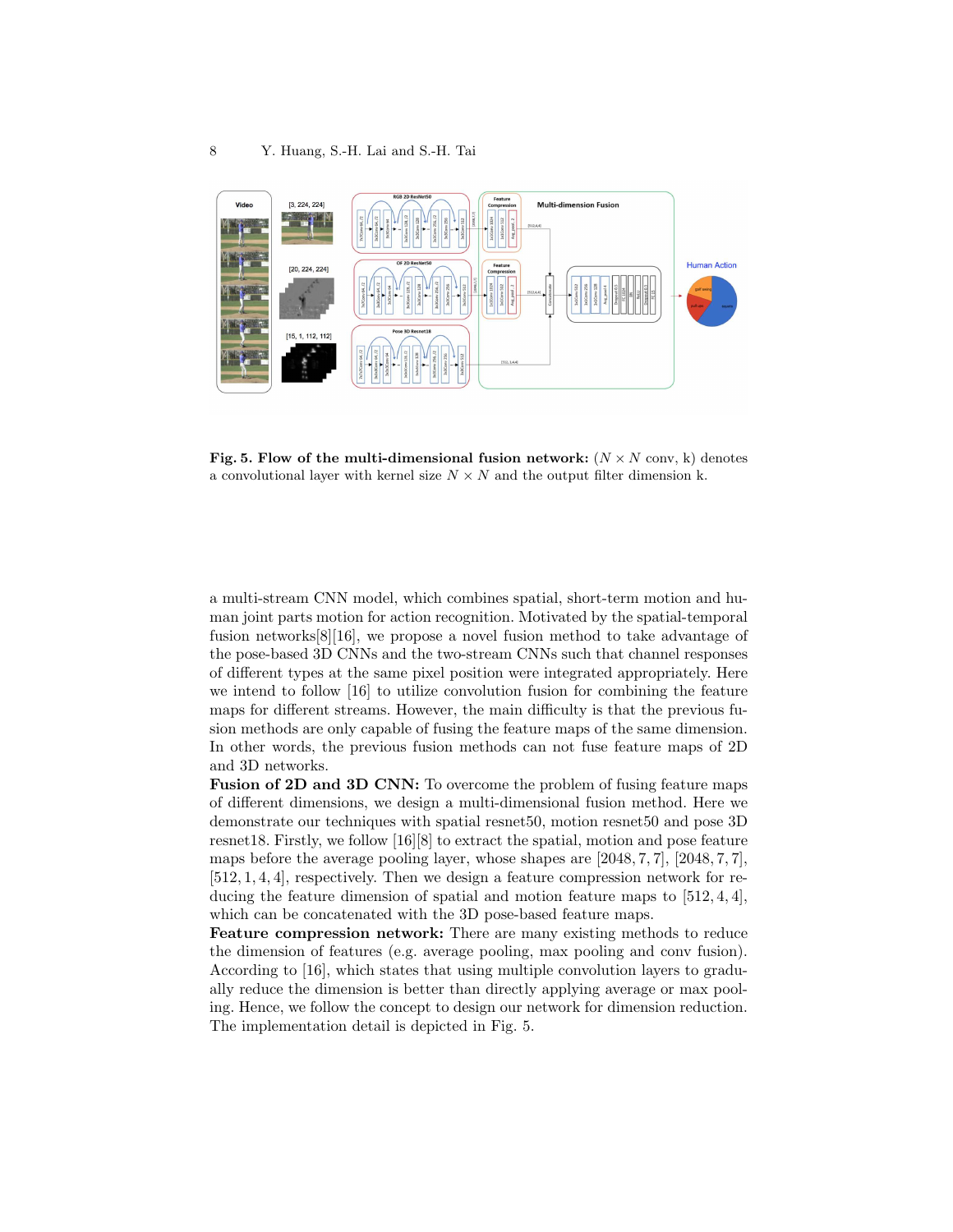

Fig. 5. Flow of the multi-dimensional fusion network:  $(N \times N$  conv, k) denotes a convolutional layer with kernel size  $N \times N$  and the output filter dimension k.

a multi-stream CNN model, which combines spatial, short-term motion and human joint parts motion for action recognition. Motivated by the spatial-temporal fusion networks[8][16], we propose a novel fusion method to take advantage of the pose-based 3D CNNs and the two-stream CNNs such that channel responses of different types at the same pixel position were integrated appropriately. Here we intend to follow [16] to utilize convolution fusion for combining the feature maps for different streams. However, the main difficulty is that the previous fusion methods are only capable of fusing the feature maps of the same dimension. In other words, the previous fusion methods can not fuse feature maps of 2D and 3D networks.

Fusion of 2D and 3D CNN: To overcome the problem of fusing feature maps of different dimensions, we design a multi-dimensional fusion method. Here we demonstrate our techniques with spatial resnet50, motion resnet50 and pose 3D resnet18. Firstly, we follow [16][8] to extract the spatial, motion and pose feature maps before the average pooling layer, whose shapes are [2048, 7, 7], [2048, 7, 7], [512, 1, 4, 4], respectively. Then we design a feature compression network for reducing the feature dimension of spatial and motion feature maps to [512, 4, 4], which can be concatenated with the 3D pose-based feature maps.

Feature compression network: There are many existing methods to reduce the dimension of features (e.g. average pooling, max pooling and conv fusion). According to [16], which states that using multiple convolution layers to gradually reduce the dimension is better than directly applying average or max pooling. Hence, we follow the concept to design our network for dimension reduction. The implementation detail is depicted in Fig. 5.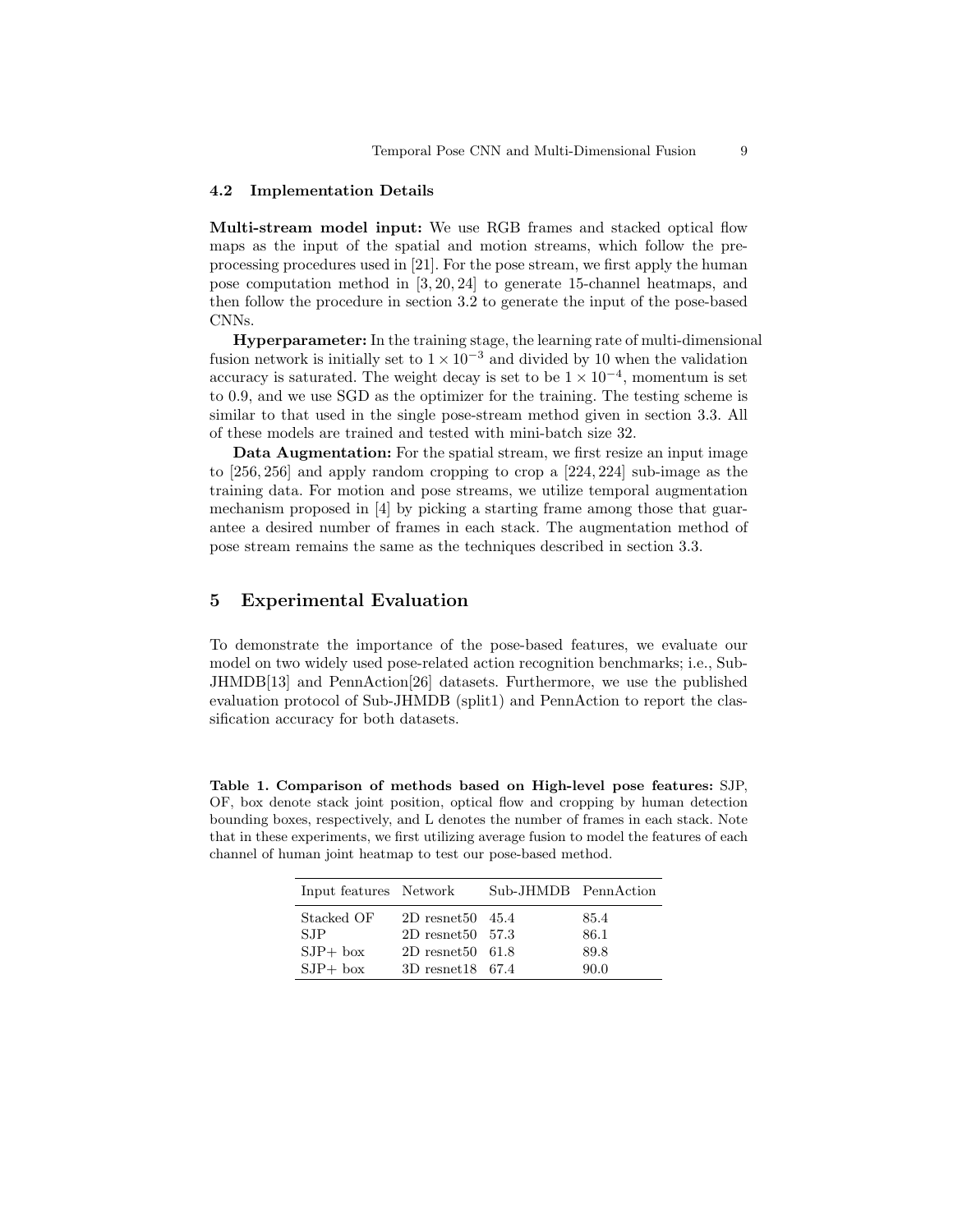#### 4.2 Implementation Details

Multi-stream model input: We use RGB frames and stacked optical flow maps as the input of the spatial and motion streams, which follow the preprocessing procedures used in [21]. For the pose stream, we first apply the human pose computation method in [3, 20, 24] to generate 15-channel heatmaps, and then follow the procedure in section 3.2 to generate the input of the pose-based CNNs.

Hyperparameter: In the training stage, the learning rate of multi-dimensional fusion network is initially set to  $1 \times 10^{-3}$  and divided by 10 when the validation accuracy is saturated. The weight decay is set to be  $1 \times 10^{-4}$ , momentum is set to 0.9, and we use SGD as the optimizer for the training. The testing scheme is similar to that used in the single pose-stream method given in section 3.3. All of these models are trained and tested with mini-batch size 32.

Data Augmentation: For the spatial stream, we first resize an input image to [256, 256] and apply random cropping to crop a [224, 224] sub-image as the training data. For motion and pose streams, we utilize temporal augmentation mechanism proposed in [4] by picking a starting frame among those that guarantee a desired number of frames in each stack. The augmentation method of pose stream remains the same as the techniques described in section 3.3.

# 5 Experimental Evaluation

To demonstrate the importance of the pose-based features, we evaluate our model on two widely used pose-related action recognition benchmarks; i.e., Sub-JHMDB[13] and PennAction[26] datasets. Furthermore, we use the published evaluation protocol of Sub-JHMDB (split1) and PennAction to report the classification accuracy for both datasets.

Table 1. Comparison of methods based on High-level pose features: SJP, OF, box denote stack joint position, optical flow and cropping by human detection bounding boxes, respectively, and L denotes the number of frames in each stack. Note that in these experiments, we first utilizing average fusion to model the features of each channel of human joint heatmap to test our pose-based method.

| Input features Network |                            | Sub-JHMDB PennAction |      |
|------------------------|----------------------------|----------------------|------|
| Stacked OF             | $2D$ resnet $50\quad 45.4$ |                      | 85.4 |
| <b>SJP</b>             | $2D$ resnet $50\quad 57.3$ |                      | 86.1 |
| $SJP+$ box             | $2D$ resnet $50\quad 61.8$ |                      | 89.8 |
| $SJP+$ box             | $3D$ resnet 18 67.4        |                      | 90.0 |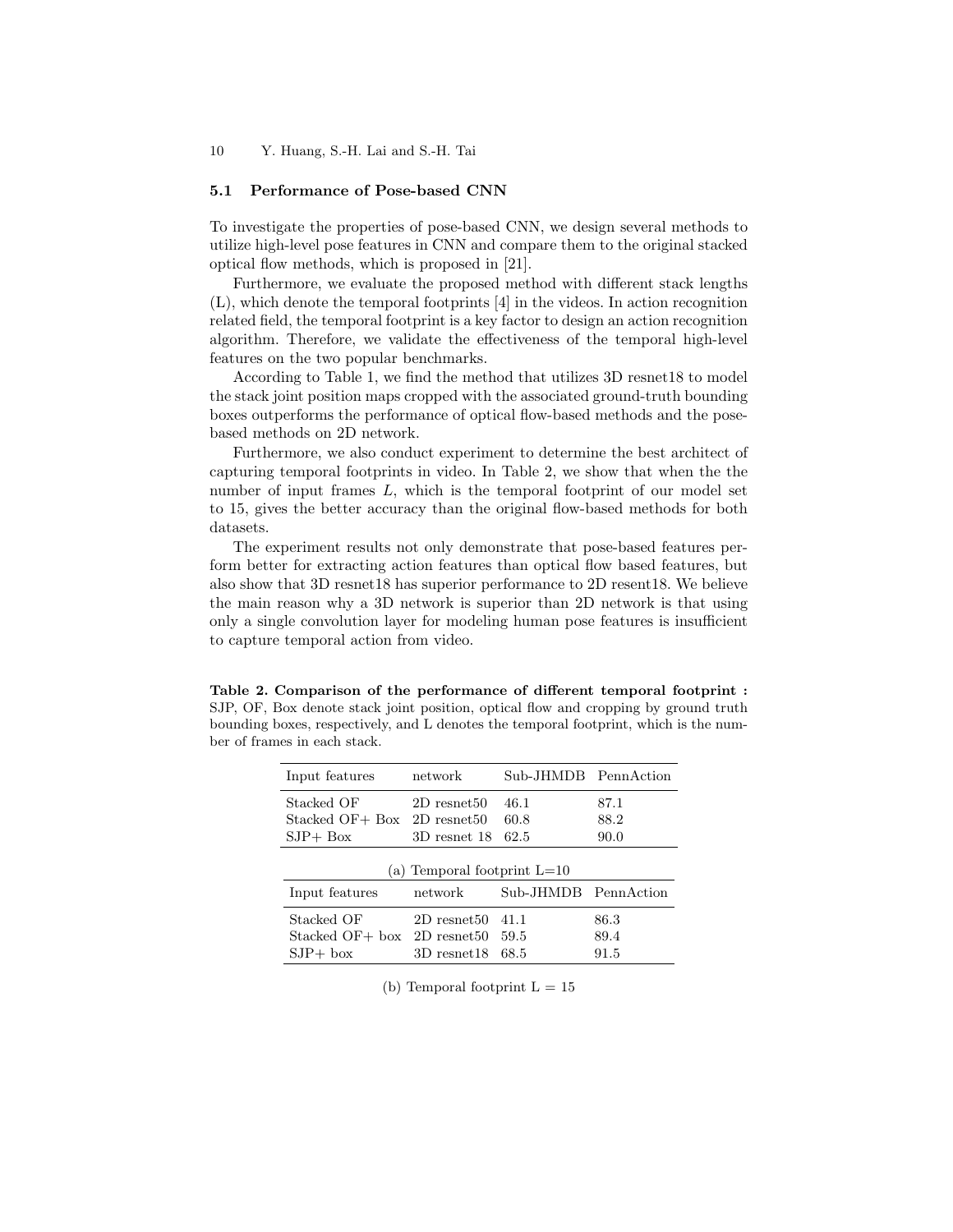## 5.1 Performance of Pose-based CNN

To investigate the properties of pose-based CNN, we design several methods to utilize high-level pose features in CNN and compare them to the original stacked optical flow methods, which is proposed in [21].

Furthermore, we evaluate the proposed method with different stack lengths (L), which denote the temporal footprints [4] in the videos. In action recognition related field, the temporal footprint is a key factor to design an action recognition algorithm. Therefore, we validate the effectiveness of the temporal high-level features on the two popular benchmarks.

According to Table 1, we find the method that utilizes 3D resnet18 to model the stack joint position maps cropped with the associated ground-truth bounding boxes outperforms the performance of optical flow-based methods and the posebased methods on 2D network.

Furthermore, we also conduct experiment to determine the best architect of capturing temporal footprints in video. In Table 2, we show that when the the number of input frames L, which is the temporal footprint of our model set to 15, gives the better accuracy than the original flow-based methods for both datasets.

The experiment results not only demonstrate that pose-based features perform better for extracting action features than optical flow based features, but also show that 3D resnet18 has superior performance to 2D resent18. We believe the main reason why a 3D network is superior than 2D network is that using only a single convolution layer for modeling human pose features is insufficient to capture temporal action from video.

Table 2. Comparison of the performance of different temporal footprint : SJP, OF, Box denote stack joint position, optical flow and cropping by ground truth bounding boxes, respectively, and L denotes the temporal footprint, which is the number of frames in each stack.

| Input features                 | network          | Sub-JHMDB PennAction |      |
|--------------------------------|------------------|----------------------|------|
| Stacked OF                     | $2D$ resnet $50$ | 46.1                 | 87.1 |
| Stacked $OF+ Box$ 2D resnet50  |                  | 60.8                 | 88.2 |
| $SJP+Box$                      | 3D resnet 18     | 62.5                 | 90.0 |
| (a) Temporal footprint $L=10$  |                  |                      |      |
| Input features                 | network          | Sub-JHMDB PennAction |      |
| Stacked OF                     | $2D$ resnet $50$ | 41.1                 | 86.3 |
| Stacked $OF + box$ 2D resnet50 |                  | 59.5                 | 89.4 |
|                                |                  |                      |      |

(b) Temporal footprint  $L = 15$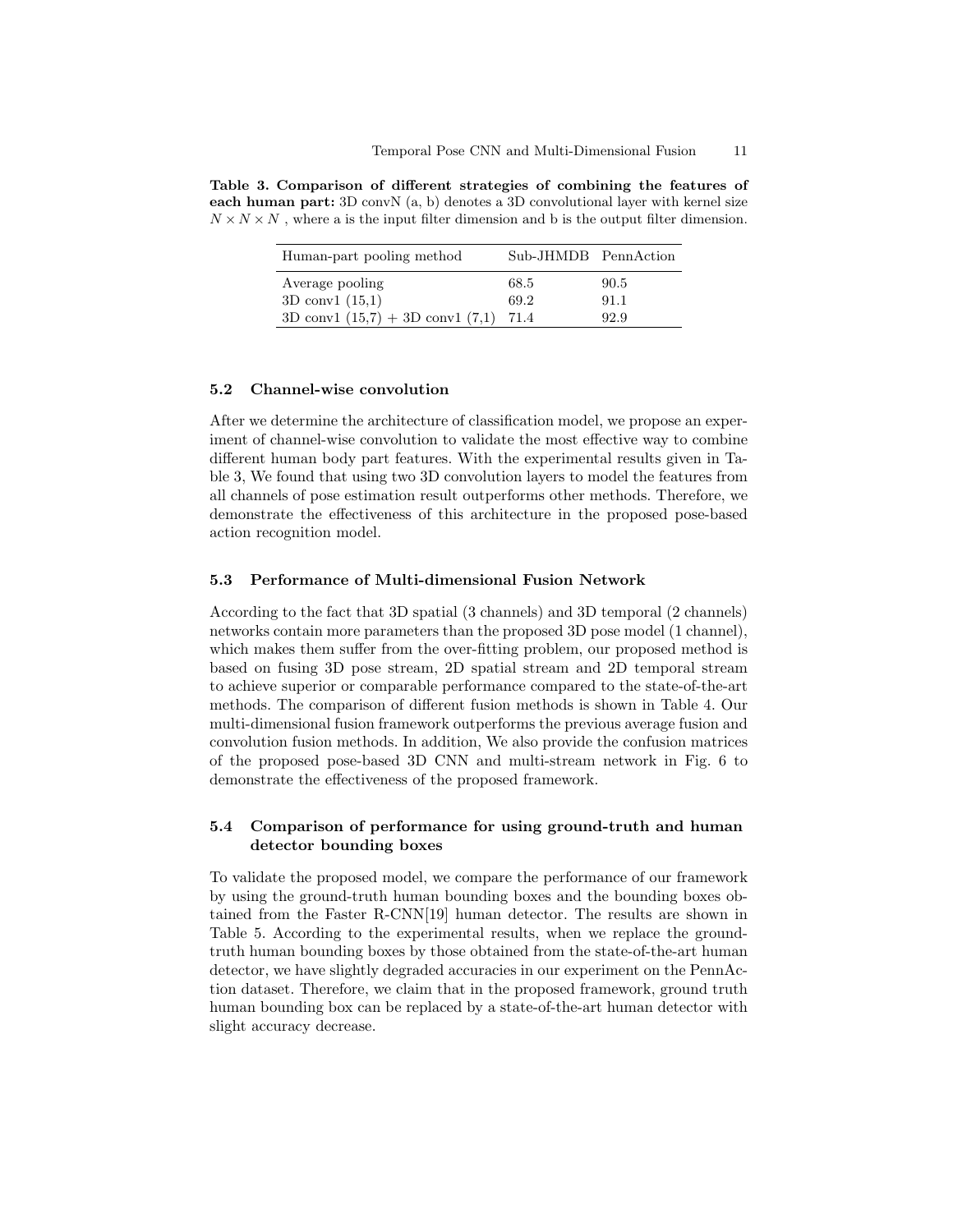Table 3. Comparison of different strategies of combining the features of each human part:  $3D \text{ convN}$  (a, b) denotes a  $3D \text{ convolutional layer with kernel size}$  $N \times N \times N$ , where a is the input filter dimension and b is the output filter dimension.

| Human-part pooling method                 | Sub-JHMDB PennAction |      |
|-------------------------------------------|----------------------|------|
| Average pooling                           | 68.5                 | 90.5 |
| $3D \text{ conv1 } (15,1)$                | 69.2                 | 91.1 |
| 3D conv1 $(15,7) + 3D$ conv1 $(7,1)$ 71.4 |                      | 92.9 |

#### 5.2 Channel-wise convolution

After we determine the architecture of classification model, we propose an experiment of channel-wise convolution to validate the most effective way to combine different human body part features. With the experimental results given in Table 3, We found that using two 3D convolution layers to model the features from all channels of pose estimation result outperforms other methods. Therefore, we demonstrate the effectiveness of this architecture in the proposed pose-based action recognition model.

#### 5.3 Performance of Multi-dimensional Fusion Network

According to the fact that 3D spatial (3 channels) and 3D temporal (2 channels) networks contain more parameters than the proposed 3D pose model (1 channel), which makes them suffer from the over-fitting problem, our proposed method is based on fusing 3D pose stream, 2D spatial stream and 2D temporal stream to achieve superior or comparable performance compared to the state-of-the-art methods. The comparison of different fusion methods is shown in Table 4. Our multi-dimensional fusion framework outperforms the previous average fusion and convolution fusion methods. In addition, We also provide the confusion matrices of the proposed pose-based 3D CNN and multi-stream network in Fig. 6 to demonstrate the effectiveness of the proposed framework.

## 5.4 Comparison of performance for using ground-truth and human detector bounding boxes

To validate the proposed model, we compare the performance of our framework by using the ground-truth human bounding boxes and the bounding boxes obtained from the Faster R-CNN[19] human detector. The results are shown in Table 5. According to the experimental results, when we replace the groundtruth human bounding boxes by those obtained from the state-of-the-art human detector, we have slightly degraded accuracies in our experiment on the PennAction dataset. Therefore, we claim that in the proposed framework, ground truth human bounding box can be replaced by a state-of-the-art human detector with slight accuracy decrease.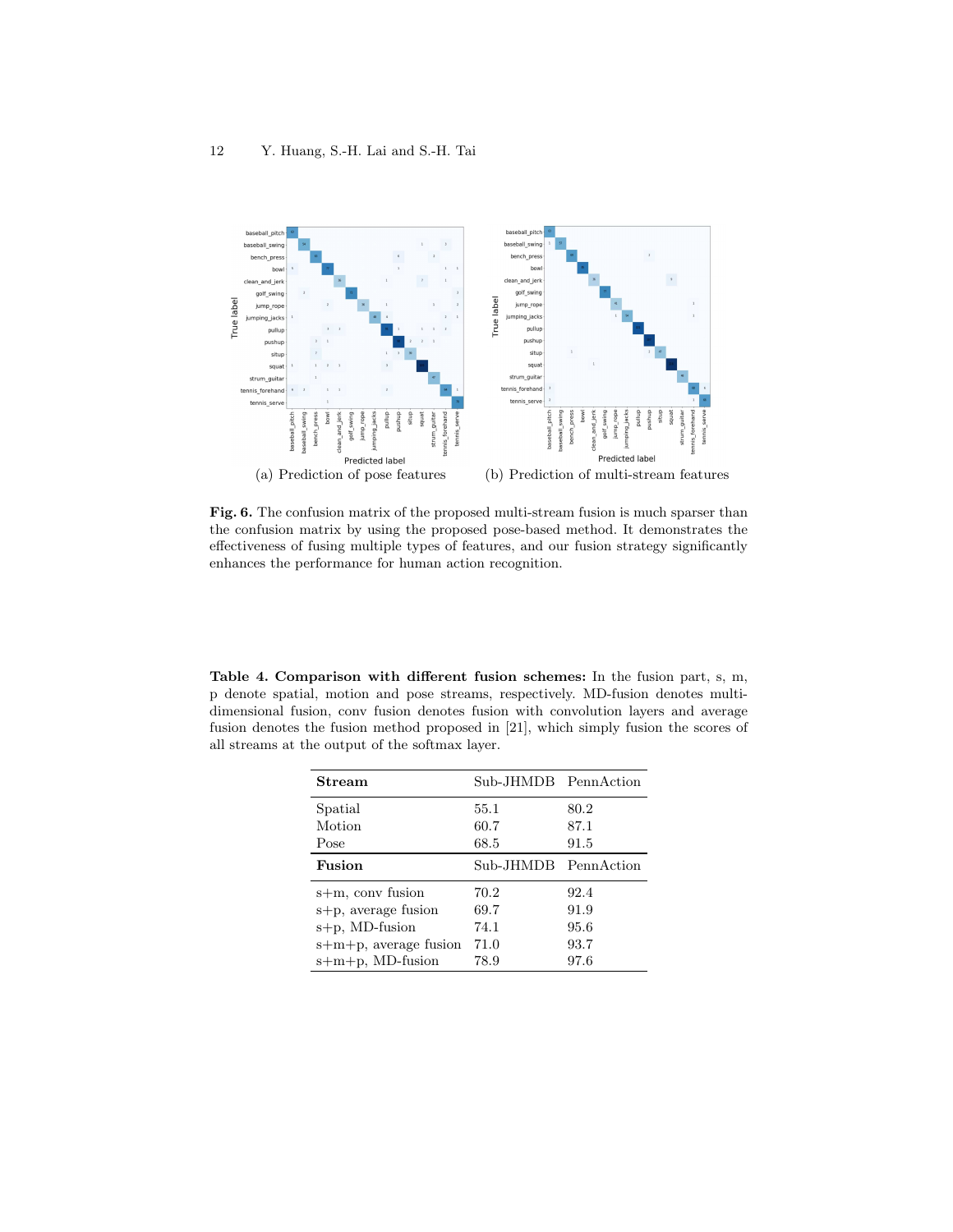

Fig. 6. The confusion matrix of the proposed multi-stream fusion is much sparser than the confusion matrix by using the proposed pose-based method. It demonstrates the effectiveness of fusing multiple types of features, and our fusion strategy significantly enhances the performance for human action recognition.

Table 4. Comparison with different fusion schemes: In the fusion part, s, m, p denote spatial, motion and pose streams, respectively. MD-fusion denotes multidimensional fusion, conv fusion denotes fusion with convolution layers and average fusion denotes the fusion method proposed in [21], which simply fusion the scores of all streams at the output of the softmax layer.

| Stream                | Sub-JHMDB PennAction |      |
|-----------------------|----------------------|------|
| Spatial               | 55.1                 | 80.2 |
| Motion                | 60.7                 | 87.1 |
| Pose                  | 68.5                 | 91.5 |
| Fusion                | Sub-JHMDB PennAction |      |
| s+m, conv fusion      | 70.2                 | 92.4 |
| s+p, average fusion   | 69.7                 | 91.9 |
| $s+p$ , MD-fusion     | 74.1                 | 95.6 |
| s+m+p, average fusion | 71.0                 | 93.7 |
| $s+m+p$ , MD-fusion   | 78.9                 | 97.6 |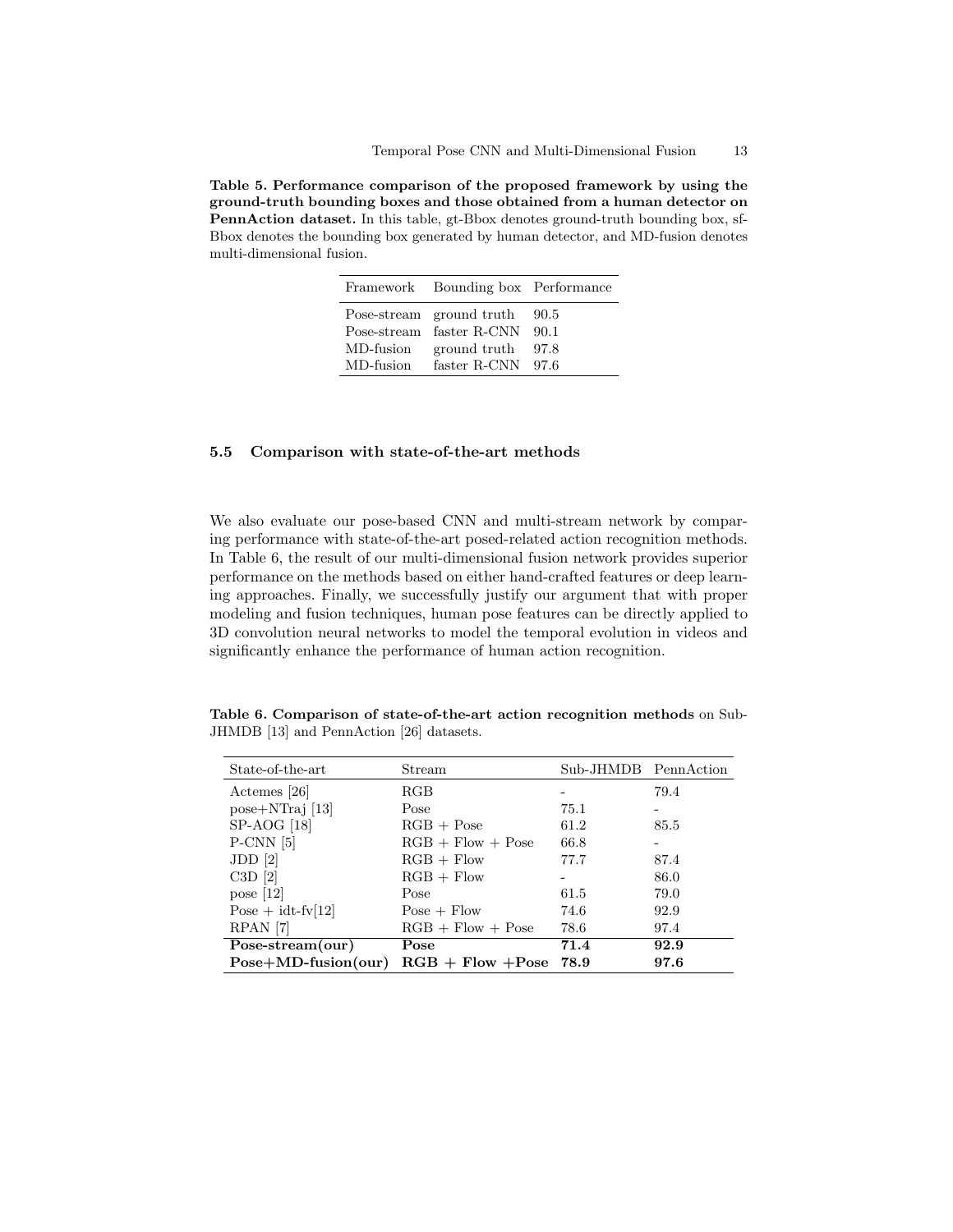Table 5. Performance comparison of the proposed framework by using the ground-truth bounding boxes and those obtained from a human detector on PennAction dataset. In this table, gt-Bbox denotes ground-truth bounding box, sf-Bbox denotes the bounding box generated by human detector, and MD-fusion denotes multi-dimensional fusion.

|           | Framework Bounding box Performance |      |
|-----------|------------------------------------|------|
|           | Pose-stream ground truth           | 90.5 |
|           | Pose-stream faster R-CNN 90.1      |      |
| MD-fusion | ground truth                       | 97.8 |
| MD-fusion | faster $R-CNN$ 97.6                |      |

## 5.5 Comparison with state-of-the-art methods

We also evaluate our pose-based CNN and multi-stream network by comparing performance with state-of-the-art posed-related action recognition methods. In Table 6, the result of our multi-dimensional fusion network provides superior performance on the methods based on either hand-crafted features or deep learning approaches. Finally, we successfully justify our argument that with proper modeling and fusion techniques, human pose features can be directly applied to 3D convolution neural networks to model the temporal evolution in videos and significantly enhance the performance of human action recognition.

Table 6. Comparison of state-of-the-art action recognition methods on Sub-JHMDB [13] and PennAction [26] datasets.

| State-of-the-art      | Stream              | Sub-JHMDB PennAction |      |
|-----------------------|---------------------|----------------------|------|
| Actemes [26]          | RGB                 |                      | 79.4 |
| $pose+NTraj$ [13]     | Pose                | 75.1                 |      |
| $SP-AOG$ [18]         | $RGB + Pose$        | 61.2                 | 85.5 |
| $P-CNN$ [5]           | $RGB + Flow + Pose$ | 66.8                 |      |
| JDD <sub>[2]</sub>    | $RGB + Flow$        | 77.7                 | 87.4 |
| $C3D$ [2]             | $RGB + Flow$        |                      | 86.0 |
| pose $[12]$           | Pose                | 61.5                 | 79.0 |
| Pose $+$ idt-fv[12]   | $Pose + Flow$       | 74.6                 | 92.9 |
| RPAN <sup>[7]</sup>   | $RGB + Flow + Pose$ | 78.6                 | 97.4 |
| Pose-stream(our)      | Pose                | 71.4                 | 92.9 |
| $Pose+MD-fusion(our)$ | $RGB + Flow + Pose$ | 78.9                 | 97.6 |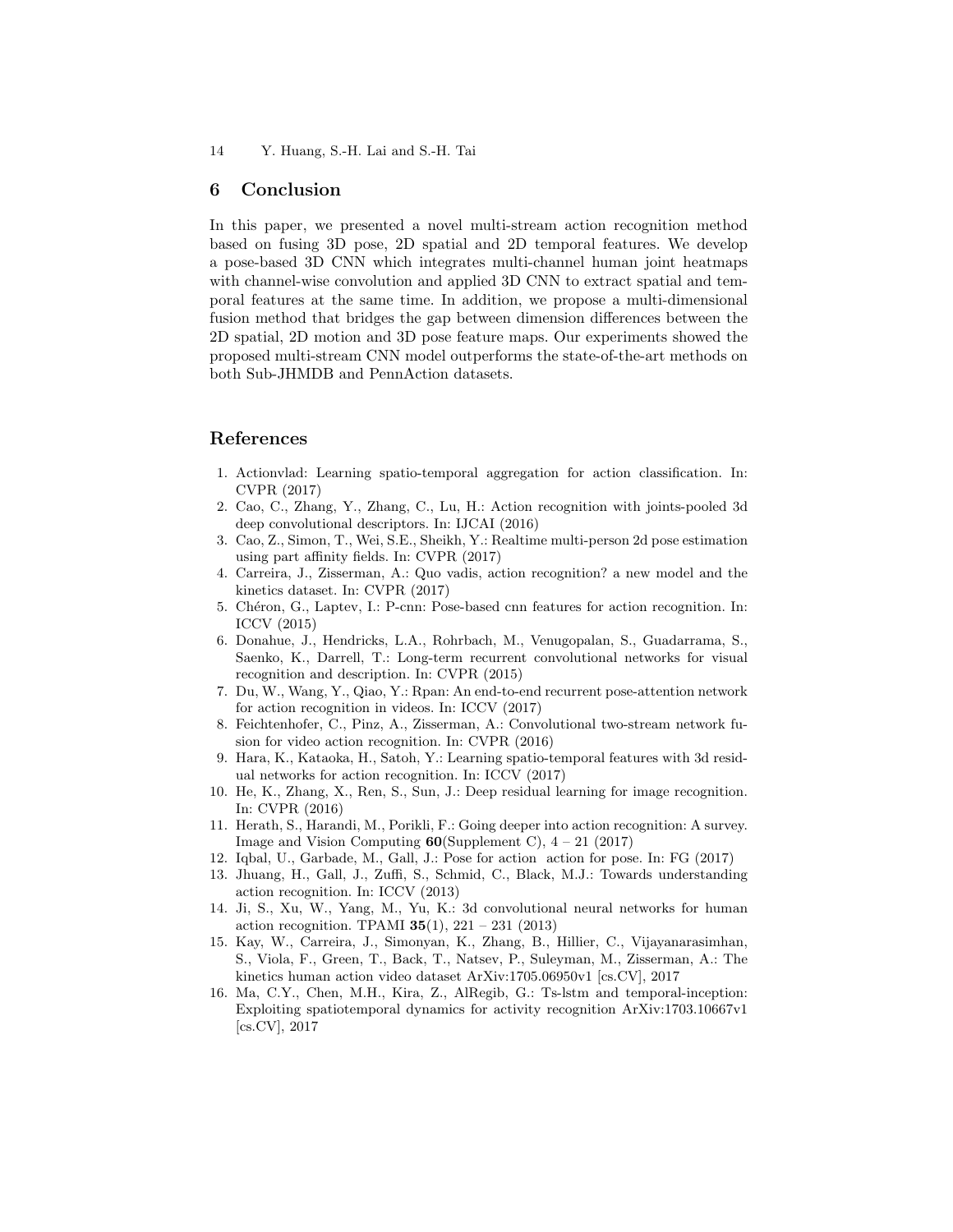## 6 Conclusion

In this paper, we presented a novel multi-stream action recognition method based on fusing 3D pose, 2D spatial and 2D temporal features. We develop a pose-based 3D CNN which integrates multi-channel human joint heatmaps with channel-wise convolution and applied 3D CNN to extract spatial and temporal features at the same time. In addition, we propose a multi-dimensional fusion method that bridges the gap between dimension differences between the 2D spatial, 2D motion and 3D pose feature maps. Our experiments showed the proposed multi-stream CNN model outperforms the state-of-the-art methods on both Sub-JHMDB and PennAction datasets.

# References

- 1. Actionvlad: Learning spatio-temporal aggregation for action classification. In: CVPR (2017)
- 2. Cao, C., Zhang, Y., Zhang, C., Lu, H.: Action recognition with joints-pooled 3d deep convolutional descriptors. In: IJCAI (2016)
- 3. Cao, Z., Simon, T., Wei, S.E., Sheikh, Y.: Realtime multi-person 2d pose estimation using part affinity fields. In: CVPR (2017)
- 4. Carreira, J., Zisserman, A.: Quo vadis, action recognition? a new model and the kinetics dataset. In: CVPR (2017)
- 5. Chéron, G., Laptev, I.: P-cnn: Pose-based cnn features for action recognition. In: ICCV (2015)
- 6. Donahue, J., Hendricks, L.A., Rohrbach, M., Venugopalan, S., Guadarrama, S., Saenko, K., Darrell, T.: Long-term recurrent convolutional networks for visual recognition and description. In: CVPR (2015)
- 7. Du, W., Wang, Y., Qiao, Y.: Rpan: An end-to-end recurrent pose-attention network for action recognition in videos. In: ICCV (2017)
- 8. Feichtenhofer, C., Pinz, A., Zisserman, A.: Convolutional two-stream network fusion for video action recognition. In: CVPR (2016)
- 9. Hara, K., Kataoka, H., Satoh, Y.: Learning spatio-temporal features with 3d residual networks for action recognition. In: ICCV (2017)
- 10. He, K., Zhang, X., Ren, S., Sun, J.: Deep residual learning for image recognition. In: CVPR (2016)
- 11. Herath, S., Harandi, M., Porikli, F.: Going deeper into action recognition: A survey. Image and Vision Computing  $60(Supplement C)$ ,  $4 - 21$  (2017)
- 12. Iqbal, U., Garbade, M., Gall, J.: Pose for action action for pose. In: FG (2017)
- 13. Jhuang, H., Gall, J., Zuffi, S., Schmid, C., Black, M.J.: Towards understanding action recognition. In: ICCV (2013)
- 14. Ji, S., Xu, W., Yang, M., Yu, K.: 3d convolutional neural networks for human action recognition. TPAMI  $35(1)$ ,  $221 - 231$  (2013)
- 15. Kay, W., Carreira, J., Simonyan, K., Zhang, B., Hillier, C., Vijayanarasimhan, S., Viola, F., Green, T., Back, T., Natsev, P., Suleyman, M., Zisserman, A.: The kinetics human action video dataset ArXiv:1705.06950v1 [cs.CV], 2017
- 16. Ma, C.Y., Chen, M.H., Kira, Z., AlRegib, G.: Ts-lstm and temporal-inception: Exploiting spatiotemporal dynamics for activity recognition ArXiv:1703.10667v1 [cs.CV], 2017